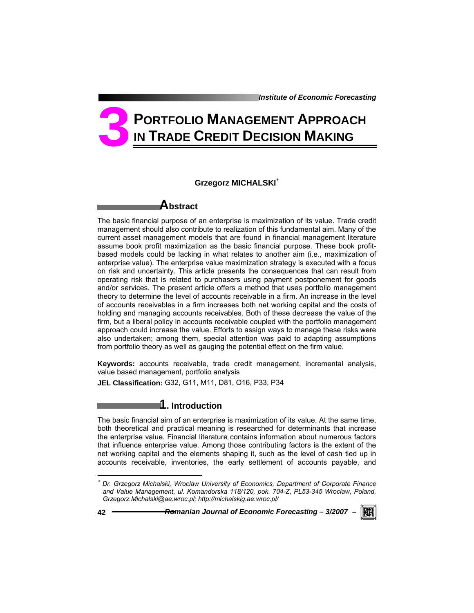*Institute of Economic Forecasting*

# **PORTFOLIO MANAGEMENT APPROACH IN TRADE CREDIT DECISION MAKING 3**

### **Grzegorz MICHALSKI**<sup>∗</sup>

## **Abstract**

The basic financial purpose of an enterprise is maximization of its value. Trade credit management should also contribute to realization of this fundamental aim. Many of the current asset management models that are found in financial management literature assume book profit maximization as the basic financial purpose. These book profitbased models could be lacking in what relates to another aim (i.e., maximization of enterprise value). The enterprise value maximization strategy is executed with a focus on risk and uncertainty. This article presents the consequences that can result from operating risk that is related to purchasers using payment postponement for goods and/or services. The present article offers a method that uses portfolio management theory to determine the level of accounts receivable in a firm. An increase in the level of accounts receivables in a firm increases both net working capital and the costs of holding and managing accounts receivables. Both of these decrease the value of the firm, but a liberal policy in accounts receivable coupled with the portfolio management approach could increase the value. Efforts to assign ways to manage these risks were also undertaken; among them, special attention was paid to adapting assumptions from portfolio theory as well as gauging the potential effect on the firm value.

**Keywords:** accounts receivable, trade credit management, incremental analysis, value based management, portfolio analysis

**JEL Classification:** G32, G11, M11, D81, O16, P33, P34

## **1. Introduction**

The basic financial aim of an enterprise is maximization of its value. At the same time, both theoretical and practical meaning is researched for determinants that increase the enterprise value. Financial literature contains information about numerous factors that influence enterprise value. Among those contributing factors is the extent of the net working capital and the elements shaping it, such as the level of cash tied up in accounts receivable, inventories, the early settlement of accounts payable, and

l



<sup>∗</sup> *Dr. Grzegorz Michalski, Wroclaw University of Economics, Department of Corporate Finance and Value Management, ul. Komandorska 118/120, pok. 704-Z, PL53-345 Wroclaw, Poland, Grzegorz.Michalski@ae.wroc.pl; http://michalskig.ae.wroc.pl/*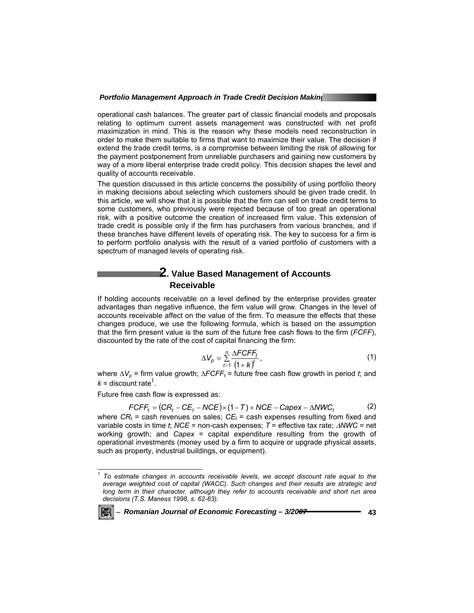operational cash balances. The greater part of classic financial models and proposals relating to optimum current assets management was constructed with net profit maximization in mind. This is the reason why these models need reconstruction in order to make them suitable to firms that want to maximize their value. The decision if extend the trade credit terms, is a compromise between limiting the risk of allowing for the payment postponement from unreliable purchasers and gaining new customers by way of a more liberal enterprise trade credit policy. This decision shapes the level and quality of accounts receivable.

The question discussed in this article concerns the possibility of using portfolio theory in making decisions about selecting which customers should be given trade credit. In this article, we will show that it is possible that the firm can sell on trade credit terms to some customers, who previously were rejected because of too great an operational risk, with a positive outcome the creation of increased firm value. This extension of trade credit is possible only if the firm has purchasers from various branches, and if these branches have different levels of operating risk. The key to success for a firm is to perform portfolio analysis with the result of a varied portfolio of customers with a spectrum of managed levels of operating risk.

## **2. Value Based Management of Accounts Receivable**

If holding accounts receivable on a level defined by the enterprise provides greater advantages than negative influence, the firm value will grow. Changes in the level of accounts receivable affect on the value of the firm. To measure the effects that these changes produce, we use the following formula, which is based on the assumption that the firm present value is the sum of the future free cash flows to the firm (*FCFF*), discounted by the rate of the cost of capital financing the firm:

$$
\Delta V_p = \sum_{t=1}^n \frac{\Delta F C F F_t}{(1+k)^t},\tag{1}
$$

where  $\Delta V_p$  = firm value growth;  $\Delta F C F F_t$  = future free cash flow growth in period *t*; and  $k =$  discount rate<sup>1</sup>.

Future free cash flow is expressed as:

$$
FCFF_t = (CR_t - CE_t - NCE) \times (1 - T) + NCE - Capex - \Delta NWC_t \tag{2}
$$

where  $CR_t$  = cash revenues on sales;  $CE_t$  = cash expenses resulting from fixed and variable costs in time *t*; *NCE* = non-cash expenses; *T* = effective tax rate; ∆*NWC* = net working growth; and *Capex* = capital expenditure resulting from the growth of operational investments (money used by a firm to acquire or upgrade physical assets, such as property, industrial buildings, or equipment).

 *1 To estimate changes in accounts receivable levels, we accept discount rate equal to the average weighted cost of capital (WACC). Such changes and their results are strategic and long term in their character, although they refer to accounts receivable and short run area decisions (T.S. Maness 1998, s. 62-63).* 

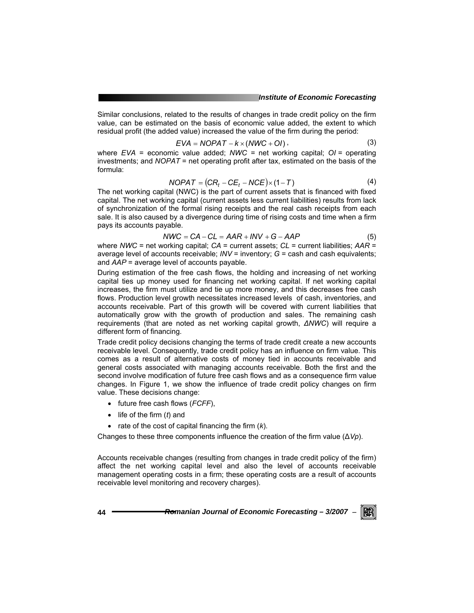Similar conclusions, related to the results of changes in trade credit policy on the firm value, can be estimated on the basis of economic value added, the extent to which residual profit (the added value) increased the value of the firm during the period:

$$
EVA = NOPATH - k \times (NWC + OI), \qquad (3)
$$

where *EVA* = economic value added; *NWC =* net working capital; *OI =* operating investments; and *NOPAT* = net operating profit after tax, estimated on the basis of the formula:

$$
NOPATH = (CRt - CEt - NCE) \times (1 - T)
$$
 (4)

The net working capital (NWC) is the part of current assets that is financed with fixed capital. The net working capital (current assets less current liabilities) results from lack of synchronization of the formal rising receipts and the real cash receipts from each sale. It is also caused by a divergence during time of rising costs and time when a firm pays its accounts payable.

$$
NWC = CA - CL = AAR + INV + G - AAP
$$
 (5)

where *NWC* = net working capital; *CA* = current assets; *CL* = current liabilities; *AAR* = average level of accounts receivable; *INV* = inventory; *G* = cash and cash equivalents; and *AAP* = average level of accounts payable.

During estimation of the free cash flows, the holding and increasing of net working capital ties up money used for financing net working capital. If net working capital increases, the firm must utilize and tie up more money, and this decreases free cash flows. Production level growth necessitates increased levels of cash, inventories, and accounts receivable. Part of this growth will be covered with current liabilities that automatically grow with the growth of production and sales. The remaining cash requirements (that are noted as net working capital growth, *∆NWC*) will require a different form of financing.

Trade credit policy decisions changing the terms of trade credit create a new accounts receivable level. Consequently, trade credit policy has an influence on firm value. This comes as a result of alternative costs of money tied in accounts receivable and general costs associated with managing accounts receivable. Both the first and the second involve modification of future free cash flows and as a consequence firm value changes. In Figure 1, we show the influence of trade credit policy changes on firm value. These decisions change:

- future free cash flows (*FCFF*),
- life of the firm (*t*) and
- rate of the cost of capital financing the firm (*k*).

Changes to these three components influence the creation of the firm value (∆*Vp*).

Accounts receivable changes (resulting from changes in trade credit policy of the firm) affect the net working capital level and also the level of accounts receivable management operating costs in a firm; these operating costs are a result of accounts receivable level monitoring and recovery charges).

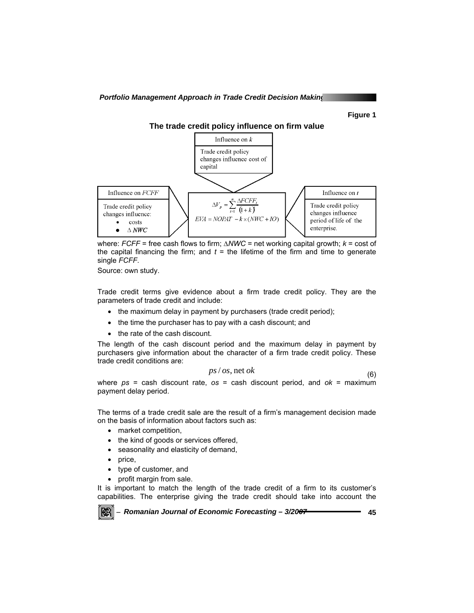*Portfolio Management Approach in Trade Credit Decision Making* 

**Figure 1** 



where: *FCFF* = free cash flows to firm; *∆NWC* = net working capital growth; *k* = cost of the capital financing the firm; and  $t =$  the lifetime of the firm and time to generate single *FCFF*.

Source: own study.

Trade credit terms give evidence about a firm trade credit policy. They are the parameters of trade credit and include:

- the maximum delay in payment by purchasers (trade credit period);
- the time the purchaser has to pay with a cash discount; and
- the rate of the cash discount.

The length of the cash discount period and the maximum delay in payment by purchasers give information about the character of a firm trade credit policy. These trade credit conditions are:

$$
ps / os, net ok \tag{6}
$$

where *ps* = cash discount rate, *os* = cash discount period, and *ok* = maximum payment delay period.

The terms of a trade credit sale are the result of a firm's management decision made on the basis of information about factors such as:

- market competition,
- the kind of goods or services offered,
- seasonality and elasticity of demand,
- price,
- type of customer, and
- profit margin from sale.

It is important to match the length of the trade credit of a firm to its customer's capabilities. The enterprise giving the trade credit should take into account the

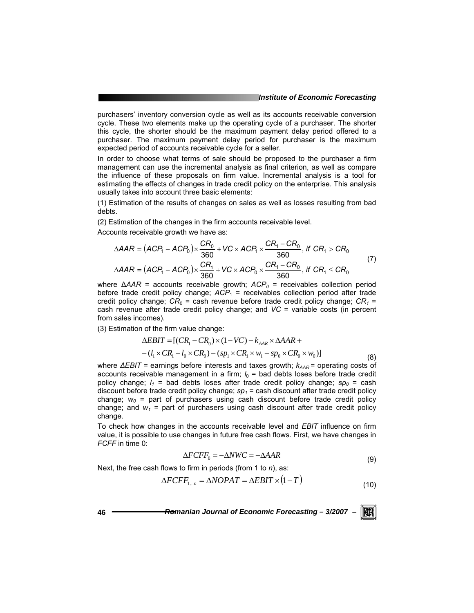purchasers' inventory conversion cycle as well as its accounts receivable conversion cycle. These two elements make up the operating cycle of a purchaser. The shorter this cycle, the shorter should be the maximum payment delay period offered to a purchaser. The maximum payment delay period for purchaser is the maximum expected period of accounts receivable cycle for a seller.

In order to choose what terms of sale should be proposed to the purchaser a firm management can use the incremental analysis as final criterion, as well as compare the influence of these proposals on firm value. Incremental analysis is a tool for estimating the effects of changes in trade credit policy on the enterprise. This analysis usually takes into account three basic elements:

(1) Estimation of the results of changes on sales as well as losses resulting from bad debts.

(2) Estimation of the changes in the firm accounts receivable level.

Accounts receivable growth we have as:

$$
\Delta AAR = (ACP_1 - ACP_0) \times \frac{CR_0}{360} + VC \times ACP_1 \times \frac{CR_1 - CR_0}{360}, \text{ if } CR_1 > CR_0
$$
  

$$
\Delta AAR = (ACP_1 - ACP_0) \times \frac{CR_1}{360} + VC \times ACP_0 \times \frac{CR_1 - CR_0}{360}, \text{ if } CR_1 \le CR_0
$$
 (7)

where Δ*AAR* = accounts receivable growth; *ACP*<sub>0</sub> = receivables collection period before trade credit policy change;  $ACP_1$  = receivables collection period after trade credit policy change;  $CR_0$  = cash revenue before trade credit policy change;  $CR_1$  = cash revenue after trade credit policy change; and *VC* = variable costs (in percent from sales incomes).

(3) Estimation of the firm value change:

$$
\Delta EBIT = [(CR_{1} - CR_{0}) \times (1 - VC) - k_{AAR} \times \Delta AAR +-(l_{1} \times CR_{1} - l_{0} \times CR_{0}) - (sp_{1} \times CR_{1} \times w_{1} - sp_{0} \times CR_{0} \times w_{0})]
$$
\n(8)

where *∆EBIT* = earnings before interests and taxes growth;  $k_{AAR}$  = operating costs of accounts receivable management in a firm;  $l_0$  = bad debts loses before trade credit policy change;  $I_1$  = bad debts loses after trade credit policy change;  $sp_0$  = cash discount before trade credit policy change;  $sp<sub>1</sub>$  = cash discount after trade credit policy change;  $w_0$  = part of purchasers using cash discount before trade credit policy change; and  $w_1$  = part of purchasers using cash discount after trade credit policy change.

To check how changes in the accounts receivable level and *EBIT* influence on firm value, it is possible to use changes in future free cash flows. First, we have changes in *FCFF* in time 0:

$$
\Delta FCFF_0 = -\Delta NWC = -\Delta AAR\tag{9}
$$

Next, the free cash flows to firm in periods (from 1 to *n*), as:

$$
\Delta FCFF_{1...n} = \Delta NOPAT = \Delta EBIT \times (1 - T)
$$
\n(10)

**46** *Romanian Journal of Economic Forecasting – 3/2007* <sup>−</sup>

KR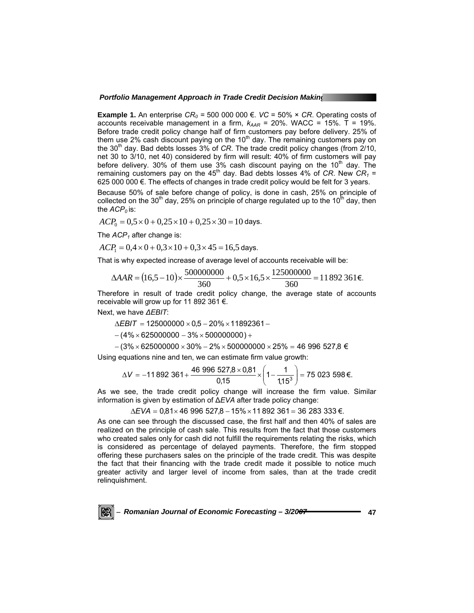**Example 1.** An enterprise  $CR_0 = 500\,000\,000 \in$ . *VC* = 50%  $\times$  *CR*. Operating costs of accounts receivable management in a firm,  $k_{AAR}$  = 20%. WACC = 15%. T = 19%. Before trade credit policy change half of firm customers pay before delivery. 25% of them use 2% cash discount paying on the  $10<sup>th</sup>$  day. The remaining customers pay on the 30<sup>th</sup> day. Bad debts losses 3% of *CR*. The trade credit policy changes (from 2/10, net 30 to 3/10, net 40) considered by firm will result: 40% of firm customers will pay before delivery. 30% of them use 3% cash discount paying on the  $10<sup>th</sup>$  day. The remaining customers pay on the 45<sup>th</sup> day. Bad debts losses 4% of *CR*. New  $CR_1 =$  $625000000 \in$ . The effects of changes in trade credit policy would be felt for 3 years.

Because 50% of sale before change of policy, is done in cash, 25% on principle of collected on the 30<sup>th</sup> day, 25% on principle of charge regulated up to the 10<sup>th</sup> day, then the  $ACP<sub>0</sub>$  is:

 $ACP_0 = 0.5 \times 0 + 0.25 \times 10 + 0.25 \times 30 = 10$  days.

The *ACP<sub>1</sub>* after change is:

$$
ACP1 = 0,4 \times 0 + 0,3 \times 10 + 0,3 \times 45 = 16,5
$$
 days.

That is why expected increase of average level of accounts receivable will be:

$$
\Delta AAR = (16,5-10) \times \frac{500000000}{360} + 0,5 \times 16,5 \times \frac{125000000}{360} = 11892361 \epsilon.
$$

Therefore in result of trade credit policy change, the average state of accounts receivable will grow up for 11 892 361 €.

Next, we have *∆EBIT*:

$$
\Delta EBIT = 125000000 \times 0.5 - 20\% \times 11892361 -
$$

 $-(4\% \times 625000000 - 3\% \times 500000000) +$ 

 $-(3\% \times 625000000 \times 30\% - 2\% \times 500000000 \times 25\% = 46$  996 527,8  $\in$ 

Using equations nine and ten, we can estimate firm value growth:

$$
\Delta V = -11892361 + \frac{46996527,8 \times 0,81}{0,15} \times \left(1 - \frac{1}{1,15^3}\right) = 75023598 \text{ E}.
$$

As we see, the trade credit policy change will increase the firm value. Similar information is given by estimation of ∆*EVA* after trade policy change:

∆*EVA* = 0,81× 46 996 527,8 − 15%×11 892 361 = 36 283 333 €.

As one can see through the discussed case, the first half and then 40% of sales are realized on the principle of cash sale. This results from the fact that those customers who created sales only for cash did not fulfill the requirements relating the risks, which is considered as percentage of delayed payments. Therefore, the firm stopped offering these purchasers sales on the principle of the trade credit. This was despite the fact that their financing with the trade credit made it possible to notice much greater activity and larger level of income from sales, than at the trade credit relinquishment.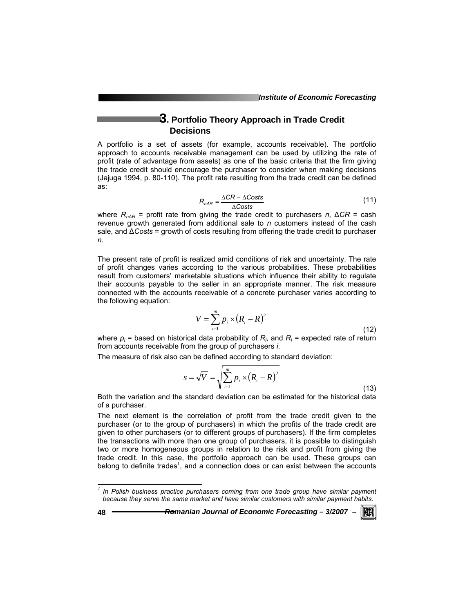## **3. Portfolio Theory Approach in Trade Credit Decisions**

A portfolio is a set of assets (for example, accounts receivable). The portfolio approach to accounts receivable management can be used by utilizing the rate of profit (rate of advantage from assets) as one of the basic criteria that the firm giving the trade credit should encourage the purchaser to consider when making decisions (Jajuga 1994, p. 80-110). The profit rate resulting from the trade credit can be defined as:

$$
R_{nAR} = \frac{\Delta CR - \Delta Costs}{\Delta Costs}
$$
 (11)

where *RnAR* = profit rate from giving the trade credit to purchasers *n*, ∆*CR* = cash revenue growth generated from additional sale to *n* customers instead of the cash sale, and ∆*Costs* = growth of costs resulting from offering the trade credit to purchaser *n*.

The present rate of profit is realized amid conditions of risk and uncertainty. The rate of profit changes varies according to the various probabilities. These probabilities result from customers' marketable situations which influence their ability to regulate their accounts payable to the seller in an appropriate manner. The risk measure connected with the accounts receivable of a concrete purchaser varies according to the following equation:

$$
V = \sum_{i=1}^{m} p_i \times (R_i - R)^2
$$
 (12)

where  $p_i$  = based on historical data probability of  $R_i$ , and  $R_i$  = expected rate of return from accounts receivable from the group of purchasers *i*.

The measure of risk also can be defined according to standard deviation:

$$
s = \sqrt{V} = \sqrt{\sum_{i=1}^{m} p_i \times (R_i - R)^2}
$$
 (13)

Both the variation and the standard deviation can be estimated for the historical data of a purchaser.

The next element is the correlation of profit from the trade credit given to the purchaser (or to the group of purchasers) in which the profits of the trade credit are given to other purchasers (or to different groups of purchasers). If the firm completes the transactions with more than one group of purchasers, it is possible to distinguish two or more homogeneous groups in relation to the risk and profit from giving the trade credit. In this case, the portfolio approach can be used. These groups can belong to definite trades<sup>1</sup>, and a connection does or can exist between the accounts

l



<sup>&</sup>lt;sup>1</sup> In Polish business practice purchasers coming from one trade group have similar payment *because they serve the same market and have similar customers with similar payment habits.*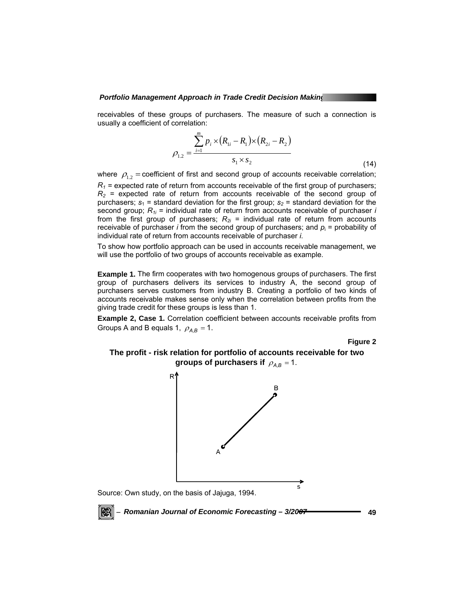receivables of these groups of purchasers. The measure of such a connection is usually a coefficient of correlation:

$$
\rho_{1,2} = \frac{\sum_{i=1}^{m} p_i \times (R_{1i} - R_1) \times (R_{2i} - R_2)}{s_1 \times s_2}
$$
\n(14)

where  $\rho_{1,2}$  = coefficient of first and second group of accounts receivable correlation;

 $R_1$  = expected rate of return from accounts receivable of the first group of purchasers;  $R_2$  = expected rate of return from accounts receivable of the second group of purchasers;  $s_1$  = standard deviation for the first group;  $s_2$  = standard deviation for the second group; *R1i* = individual rate of return from accounts receivable of purchaser *i* from the first group of purchasers;  $R_{2i}$  = individual rate of return from accounts receivable of purchaser *i* from the second group of purchasers; and  $p_i$  = probability of individual rate of return from accounts receivable of purchaser *i*.

To show how portfolio approach can be used in accounts receivable management, we will use the portfolio of two groups of accounts receivable as example.

**Example 1.** The firm cooperates with two homogenous groups of purchasers. The first group of purchasers delivers its services to industry A, the second group of purchasers serves customers from industry B. Creating a portfolio of two kinds of accounts receivable makes sense only when the correlation between profits from the giving trade credit for these groups is less than 1.

**Example 2, Case 1.** Correlation coefficient between accounts receivable profits from Groups A and B equals 1,  $\rho_{AB} = 1$ .

**Figure 2** 

**The profit - risk relation for portfolio of accounts receivable for two groups of purchasers if**  $\rho_{AB} = 1$ .



Source: Own study, on the basis of Jajuga, 1994.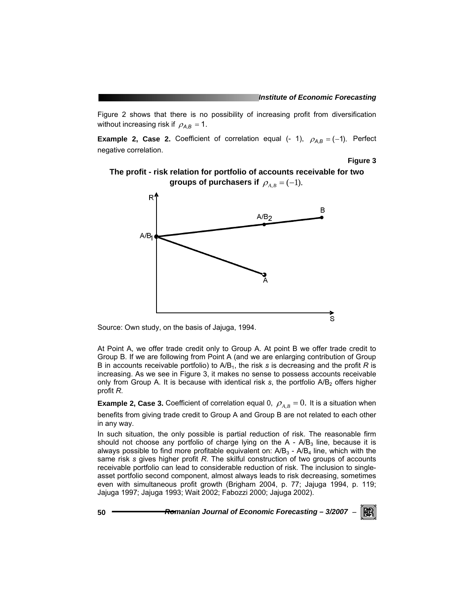Figure 2 shows that there is no possibility of increasing profit from diversification without increasing risk if  $\rho_{AB} = 1$ .

**Example 2, Case 2.** Coefficient of correlation equal (- 1),  $\rho_{A,B} = (-1)$ . Perfect negative correlation.

**Figure 3** 

**The profit - risk relation for portfolio of accounts receivable for two groups of purchasers if**  $\rho_{A,B} = (-1)$ .



Source: Own study, on the basis of Jajuga, 1994.

At Point A, we offer trade credit only to Group A. At point B we offer trade credit to Group B. If we are following from Point A (and we are enlarging contribution of Group B in accounts receivable portfolio) to A/B1, the risk *s* is decreasing and the profit *R* is increasing. As we see in Figure 3, it makes no sense to possess accounts receivable only from Group A. It is because with identical risk *s*, the portfolio A/B<sub>2</sub> offers higher profit *R*.

**Example 2, Case 3.** Coefficient of correlation equal 0,  $\rho_{A,B} = 0$ . It is a situation when benefits from giving trade credit to Group A and Group B are not related to each other in any way.

In such situation, the only possible is partial reduction of risk. The reasonable firm should not choose any portfolio of charge lying on the  $A - A/B<sub>3</sub>$  line, because it is always possible to find more profitable equivalent on:  $A/B<sub>3</sub>$  -  $A/B<sub>4</sub>$  line, which with the same risk *s* gives higher profit *R*. The skilful construction of two groups of accounts receivable portfolio can lead to considerable reduction of risk. The inclusion to singleasset portfolio second component, almost always leads to risk decreasing, sometimes even with simultaneous profit growth (Brigham 2004, p. 77; Jajuga 1994, p. 119; Jajuga 1997; Jajuga 1993; Wait 2002; Fabozzi 2000; Jajuga 2002).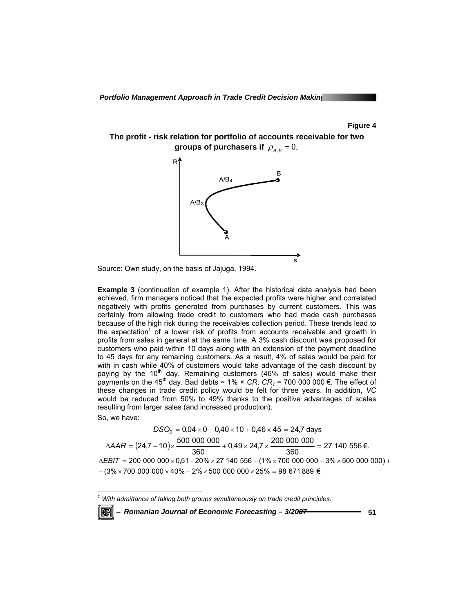**Figure 4** 

**The profit - risk relation for portfolio of accounts receivable for two groups of purchasers if**  $\rho_{AB} = 0$ .



Source: Own study, on the basis of Jajuga, 1994.

**Example 3** (continuation of example 1). After the historical data analysis had been achieved, firm managers noticed that the expected profits were higher and correlated negatively with profits generated from purchases by current customers. This was certainly from allowing trade credit to customers who had made cash purchases because of the high risk during the receivables collection period. These trends lead to the expectation<sup>1</sup> of a lower risk of profits from accounts receivable and growth in profits from sales in general at the same time. A 3% cash discount was proposed for customers who paid within 10 days along with an extension of the payment deadline to 45 days for any remaining customers. As a result, 4% of sales would be paid for with in cash while 40% of customers would take advantage of the cash discount by paying by the  $10<sup>th</sup>$  day. Remaining customers (46% of sales) would make their payments on the 45<sup>th</sup> day. Bad debts =  $1\% \times CR$ .  $CR_1$  = 700 000 000 €. The effect of these changes in trade credit policy would be felt for three years. In addition, *VC* would be reduced from 50% to 49% thanks to the positive advantages of scales resulting from larger sales (and increased production).

So, we have:

 $DSO_2 = 0,04 \times 0 + 0,40 \times 10 + 0,46 \times 45 = 24,7$  days  $\triangle AAR = (24.7 - 10) \times \frac{500\,000\,000}{360} + 0.49 \times 24.7 \times \frac{200\,000\,000}{360} = 27\,140\,556\,\epsilon.$  $-(3\% \times 700\,$  000  $\,$  000  $\times$  40%  $-$  2%  $\times$  500  $\,$  000  $\,$  000  $\times$  25%  $=$  98  $\,$  671 889  $\,\in$ ∆*EBIT = 200 000 000 ×* 0,51 – 20% × 27 140 556 – (1% × 700 000 000 – 3% × 500 000 000) +

 *1 With admittance of taking both groups simultaneously on trade credit principles.*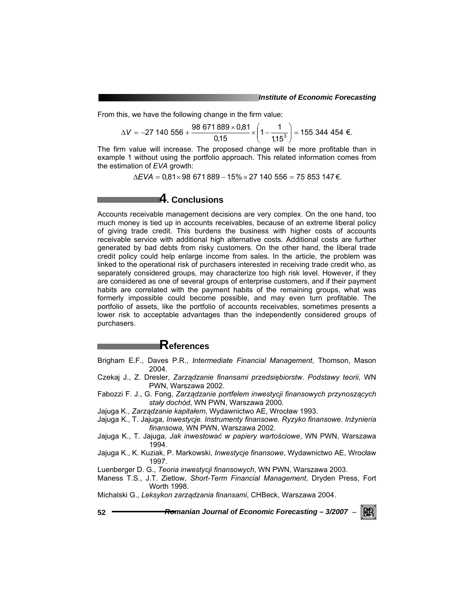From this, we have the following change in the firm value:

$$
\Delta V = -27\ 140\ 556 + \frac{98\ 671\ 889 \times 0.81}{0.15} \times \left(1 - \frac{1}{1.15^3}\right) = 155\ 344\ 454\ \text{E}.
$$

The firm value will increase. The proposed change will be more profitable than in example 1 without using the portfolio approach. This related information comes from the estimation of *EVA* growth:

∆*EVA* = 0,81× 98 671 889 − 15%× 27 140 556 = 75 853 147 €.

## **4. Conclusions**

Accounts receivable management decisions are very complex. On the one hand, too much money is tied up in accounts receivables, because of an extreme liberal policy of giving trade credit. This burdens the business with higher costs of accounts receivable service with additional high alternative costs. Additional costs are further generated by bad debts from risky customers. On the other hand, the liberal trade credit policy could help enlarge income from sales. In the article, the problem was linked to the operational risk of purchasers interested in receiving trade credit who, as separately considered groups, may characterize too high risk level. However, if they are considered as one of several groups of enterprise customers, and if their payment habits are correlated with the payment habits of the remaining groups, what was formerly impossible could become possible, and may even turn profitable. The portfolio of assets, like the portfolio of accounts receivables, sometimes presents a lower risk to acceptable advantages than the independently considered groups of purchasers.

## **References**

- Brigham E.F., Daves P.R., *Intermediate Financial Management*, Thomson, Mason 2004.
- Czekaj J., Z. Dresler, *Zarządzanie finansami przedsiębiorstw. Podstawy teorii,* WN PWN, Warszawa 2002.
- Fabozzi F. J., G. Fong, *Zarządzanie portfelem inwestycji finansowych przynoszących stały dochód*, WN PWN, Warszawa 2000.
- Jajuga K., *Zarządzanie kapitałem*, Wydawnictwo AE, Wrocław 1993.
- Jajuga K., T. Jajuga, *Inwestycje. Instrumenty finansowe. Ryzyko finansowe. Inżynieria finansowa,* WN PWN, Warszawa 2002.
- Jajuga K., T. Jajuga, *Jak inwestować w papiery wartościowe*, WN PWN, Warszawa 1994.
- Jajuga K., K. Kuziak, P. Markowski, *Inwestycje finansowe*, Wydawnictwo AE, Wrocław 1997.
- Luenberger D. G., *Teoria inwestycji finansowych*, WN PWN, Warszawa 2003.
- Maness T.S., J.T. Zietlow, *Short-Term Financial Management*, Dryden Press, Fort Worth 1998.
- Michalski G., *Leksykon zarządzania finansami*, CHBeck, Warszawa 2004.